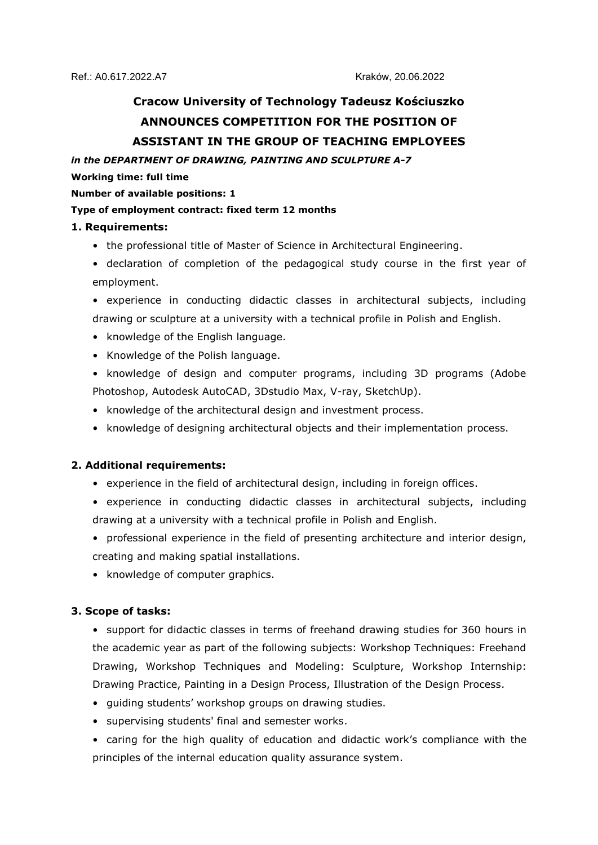# **Cracow University of Technology Tadeusz Kościuszko ANNOUNCES COMPETITION FOR THE POSITION OF ASSISTANT IN THE GROUP OF TEACHING EMPLOYEES**

*in the DEPARTMENT OF DRAWING, PAINTING AND SCULPTURE A-7*

#### **Working time: full time**

#### **Number of available positions: 1**

#### **Type of employment contract: fixed term 12 months**

## **1. Requirements:**

- the professional title of Master of Science in Architectural Engineering.
- declaration of completion of the pedagogical study course in the first year of employment.
- experience in conducting didactic classes in architectural subjects, including drawing or sculpture at a university with a technical profile in Polish and English.
- knowledge of the English language.
- Knowledge of the Polish language.
- knowledge of design and computer programs, including 3D programs (Adobe Photoshop, Autodesk AutoCAD, 3Dstudio Max, V-ray, SketchUp).
- knowledge of the architectural design and investment process.
- knowledge of designing architectural objects and their implementation process.

## **2. Additional requirements:**

- experience in the field of architectural design, including in foreign offices.
- experience in conducting didactic classes in architectural subjects, including drawing at a university with a technical profile in Polish and English.
- professional experience in the field of presenting architecture and interior design, creating and making spatial installations.
- knowledge of computer graphics.

## **3. Scope of tasks:**

- support for didactic classes in terms of freehand drawing studies for 360 hours in the academic year as part of the following subjects: Workshop Techniques: Freehand Drawing, Workshop Techniques and Modeling: Sculpture, Workshop Internship: Drawing Practice, Painting in a Design Process, Illustration of the Design Process.
- guiding students' workshop groups on drawing studies.
- supervising students' final and semester works.
- caring for the high quality of education and didactic work's compliance with the principles of the internal education quality assurance system.